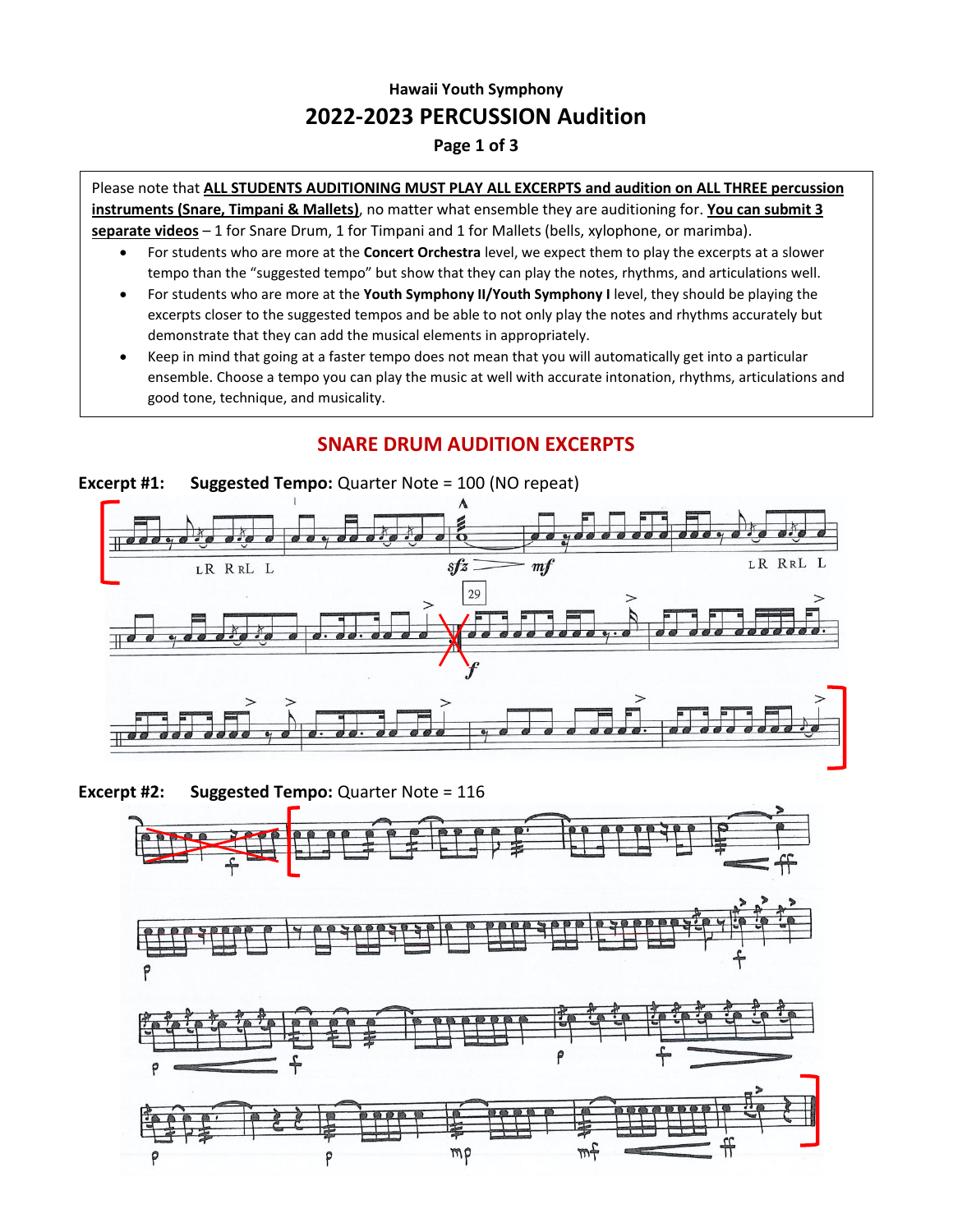## **Hawaii Youth Symphony 2022-2023 PERCUSSION Audition**

#### **Page 1 of 3**

Please note that **ALL STUDENTS AUDITIONING MUST PLAY ALL EXCERPTS and audition on ALL THREE percussion instruments (Snare, Timpani & Mallets)**, no matter what ensemble they are auditioning for. **You can submit 3 separate videos** – 1 for Snare Drum, 1 for Timpani and 1 for Mallets (bells, xylophone, or marimba).

- For students who are more at the **Concert Orchestra** level, we expect them to play the excerpts at a slower tempo than the "suggested tempo" but show that they can play the notes, rhythms, and articulations well.
- For students who are more at the **Youth Symphony II/Youth Symphony I** level, they should be playing the excerpts closer to the suggested tempos and be able to not only play the notes and rhythms accurately but demonstrate that they can add the musical elements in appropriately.
- good tone, technique, and musicality. • Keep in mind that going at a faster tempo does not mean that you will automatically get into a particular ensemble. Choose a tempo you can play the music at well with accurate intonation, rhythms, articulations and

# **Excerpt #1: Suggested Tempo:** Quarter Note = 100 (NO repeat)  $s f z$ LR RRL L LR RRL L  $m f$ 29  $\sigma$   $\sigma$

### **SNARE DRUM AUDITION EXCERPTS**

**Excerpt #2: Suggested Tempo:** Quarter Note = 116

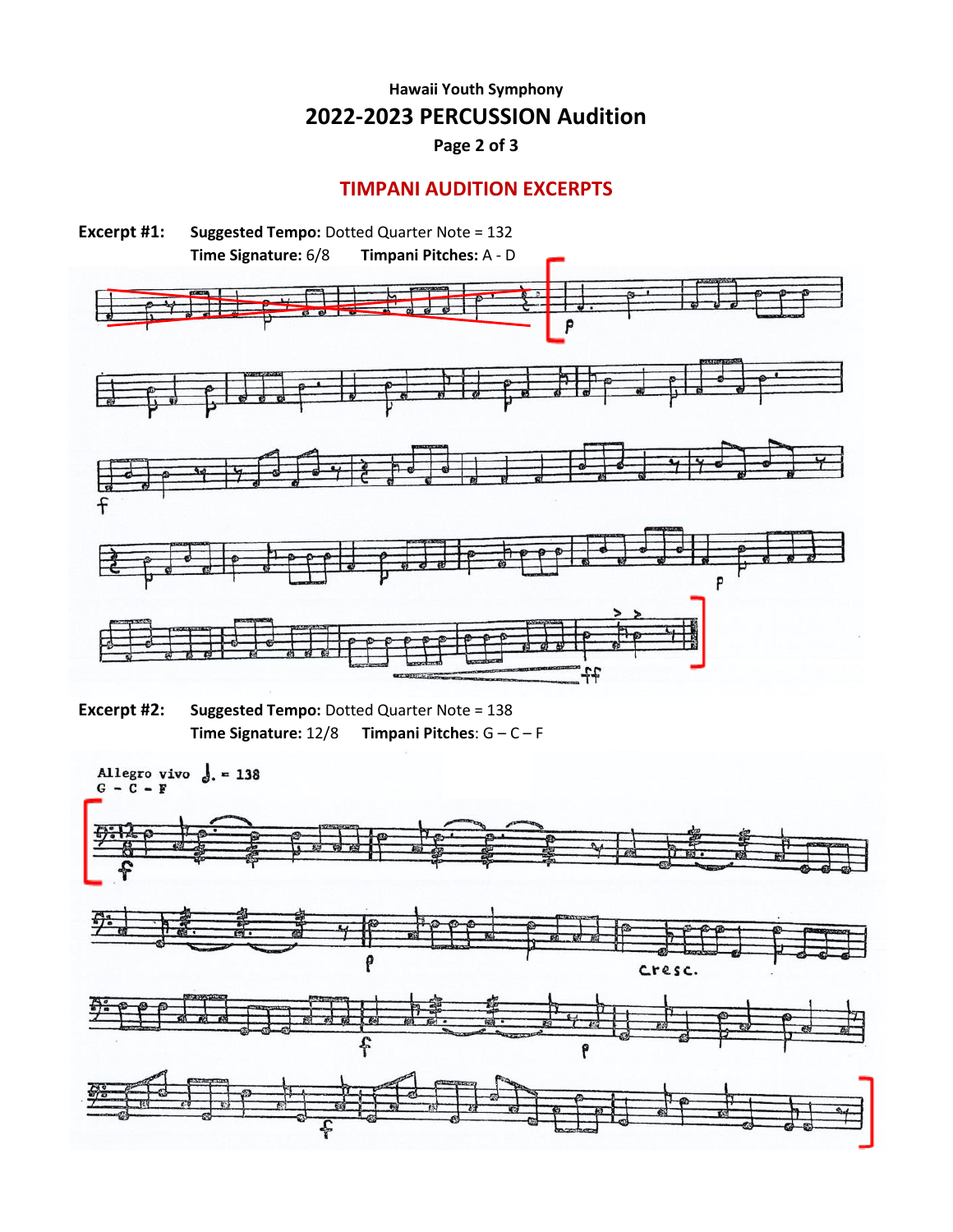## **Hawaii Youth Symphony 2022-2023 PERCUSSION Audition**

**Page 2 of 3**

#### **TIMPANI AUDITION EXCERPTS**